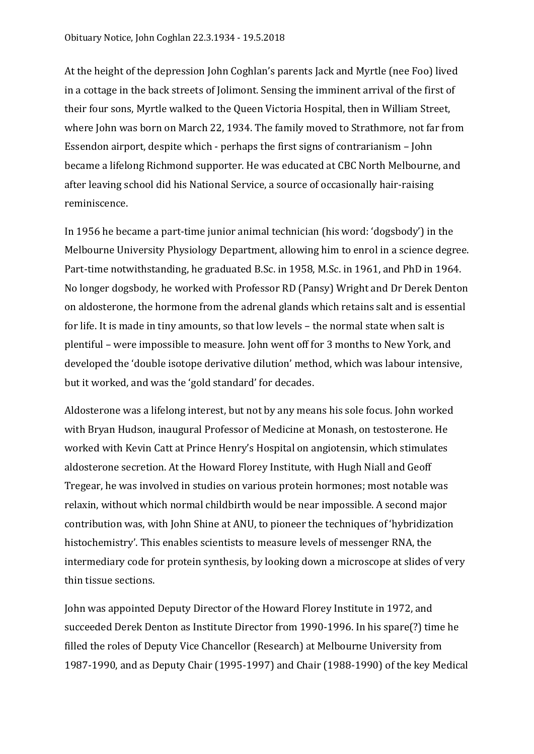At the height of the depression John Coghlan's parents Jack and Myrtle (nee Foo) lived in a cottage in the back streets of Jolimont. Sensing the imminent arrival of the first of their four sons, Myrtle walked to the Queen Victoria Hospital, then in William Street, where John was born on March 22, 1934. The family moved to Strathmore, not far from Essendon airport, despite which - perhaps the first signs of contrarianism – John became a lifelong Richmond supporter. He was educated at CBC North Melbourne, and after leaving school did his National Service, a source of occasionally hair-raising reminiscence.

In 1956 he became a part-time junior animal technician (his word: 'dogsbody') in the Melbourne University Physiology Department, allowing him to enrol in a science degree. Part-time notwithstanding, he graduated B.Sc. in 1958, M.Sc. in 1961, and PhD in 1964. No longer dogsbody, he worked with Professor RD (Pansy) Wright and Dr Derek Denton on aldosterone, the hormone from the adrenal glands which retains salt and is essential for life. It is made in tiny amounts, so that low levels – the normal state when salt is plentiful – were impossible to measure. John went off for 3 months to New York, and developed the 'double isotope derivative dilution' method, which was labour intensive, but it worked, and was the 'gold standard' for decades.

Aldosterone was a lifelong interest, but not by any means his sole focus. John worked with Bryan Hudson, inaugural Professor of Medicine at Monash, on testosterone. He worked with Kevin Catt at Prince Henry's Hospital on angiotensin, which stimulates aldosterone secretion. At the Howard Florey Institute, with Hugh Niall and Geoff Tregear, he was involved in studies on various protein hormones; most notable was relaxin, without which normal childbirth would be near impossible. A second major contribution was, with John Shine at ANU, to pioneer the techniques of 'hybridization histochemistry'. This enables scientists to measure levels of messenger RNA, the intermediary code for protein synthesis, by looking down a microscope at slides of very thin tissue sections.

John was appointed Deputy Director of the Howard Florey Institute in 1972, and succeeded Derek Denton as Institute Director from 1990-1996. In his spare(?) time he filled the roles of Deputy Vice Chancellor (Research) at Melbourne University from 1987-1990, and as Deputy Chair (1995-1997) and Chair (1988-1990) of the key Medical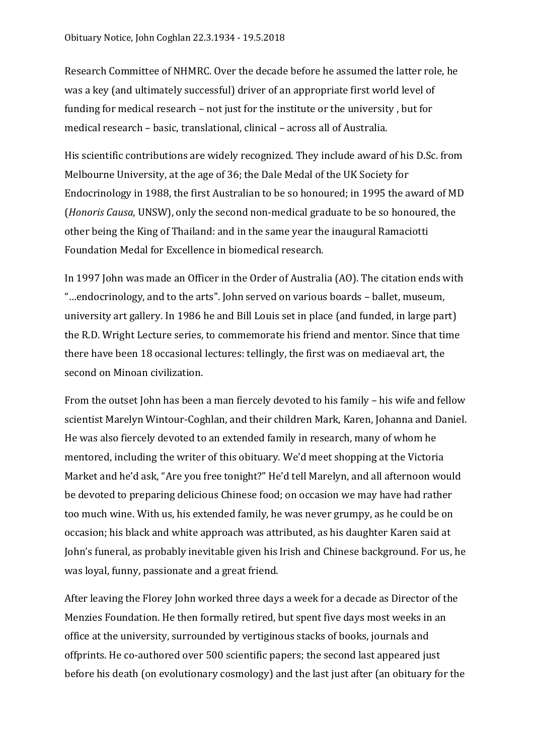Research Committee of NHMRC. Over the decade before he assumed the latter role, he was a key (and ultimately successful) driver of an appropriate first world level of funding for medical research – not just for the institute or the university , but for medical research – basic, translational, clinical – across all of Australia.

His scientific contributions are widely recognized. They include award of his D.Sc. from Melbourne University, at the age of 36; the Dale Medal of the UK Society for Endocrinology in 1988, the first Australian to be so honoured; in 1995 the award of MD (*Honoris Causa*, UNSW), only the second non-medical graduate to be so honoured, the other being the King of Thailand: and in the same year the inaugural Ramaciotti Foundation Medal for Excellence in biomedical research.

In 1997 John was made an Officer in the Order of Australia (AO). The citation ends with "…endocrinology, and to the arts". John served on various boards – ballet, museum, university art gallery. In 1986 he and Bill Louis set in place (and funded, in large part) the R.D. Wright Lecture series, to commemorate his friend and mentor. Since that time there have been 18 occasional lectures: tellingly, the first was on mediaeval art, the second on Minoan civilization.

From the outset John has been a man fiercely devoted to his family – his wife and fellow scientist Marelyn Wintour-Coghlan, and their children Mark, Karen, Johanna and Daniel. He was also fiercely devoted to an extended family in research, many of whom he mentored, including the writer of this obituary. We'd meet shopping at the Victoria Market and he'd ask, "Are you free tonight?" He'd tell Marelyn, and all afternoon would be devoted to preparing delicious Chinese food; on occasion we may have had rather too much wine. With us, his extended family, he was never grumpy, as he could be on occasion; his black and white approach was attributed, as his daughter Karen said at John's funeral, as probably inevitable given his Irish and Chinese background. For us, he was loyal, funny, passionate and a great friend.

After leaving the Florey John worked three days a week for a decade as Director of the Menzies Foundation. He then formally retired, but spent five days most weeks in an office at the university, surrounded by vertiginous stacks of books, journals and offprints. He co-authored over 500 scientific papers; the second last appeared just before his death (on evolutionary cosmology) and the last just after (an obituary for the